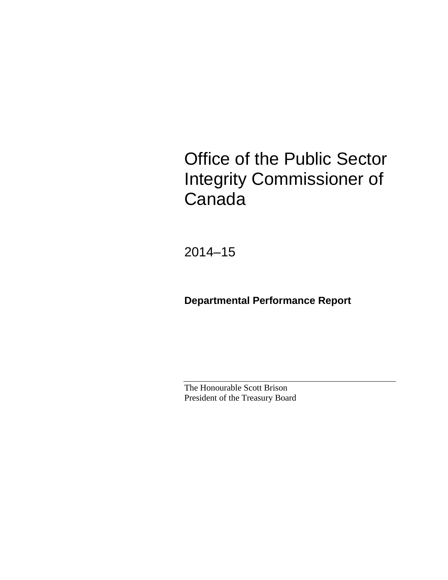# Office of the Public Sector Integrity Commissioner of Canada

2014–15

**Departmental Performance Report**

The Honourable Scott Brison President of the Treasury Board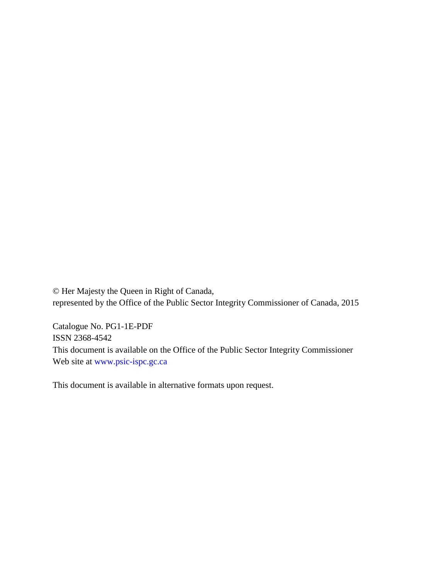© Her Majesty the Queen in Right of Canada, represented by the Office of the Public Sector Integrity Commissioner of Canada, 2015

Catalogue No. PG1-1E-PDF ISSN 2368-4542 This document is available on the Office of the Public Sector Integrity Commissioner Web site at [www.psic-ispc.gc.ca](http://www.psic-ispc.gc.ca/)

This document is available in alternative formats upon request.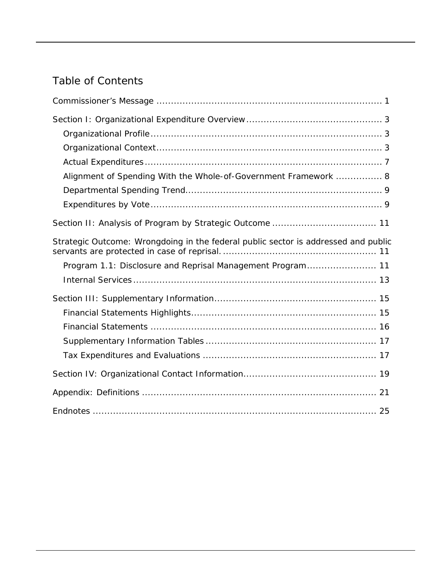# Table of Contents

| Alignment of Spending With the Whole-of-Government Framework  8                    |
|------------------------------------------------------------------------------------|
|                                                                                    |
|                                                                                    |
|                                                                                    |
| Strategic Outcome: Wrongdoing in the federal public sector is addressed and public |
| Program 1.1: Disclosure and Reprisal Management Program 11                         |
|                                                                                    |
|                                                                                    |
|                                                                                    |
|                                                                                    |
|                                                                                    |
|                                                                                    |
|                                                                                    |
|                                                                                    |
|                                                                                    |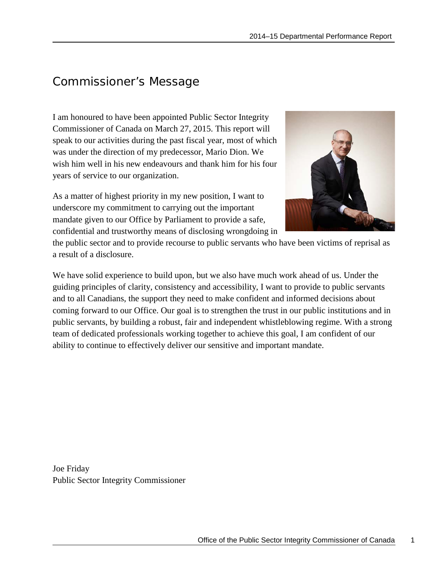# <span id="page-4-0"></span>Commissioner's Message

I am honoured to have been appointed Public Sector Integrity Commissioner of Canada on March 27, 2015. This report will speak to our activities during the past fiscal year, most of which was under the direction of my predecessor, Mario Dion. We wish him well in his new endeavours and thank him for his four years of service to our organization.

As a matter of highest priority in my new position, I want to underscore my commitment to carrying out the important mandate given to our Office by Parliament to provide a safe, confidential and trustworthy means of disclosing wrongdoing in



the public sector and to provide recourse to public servants who have been victims of reprisal as a result of a disclosure.

We have solid experience to build upon, but we also have much work ahead of us. Under the guiding principles of clarity, consistency and accessibility, I want to provide to public servants and to all Canadians, the support they need to make confident and informed decisions about coming forward to our Office. Our goal is to strengthen the trust in our public institutions and in public servants, by building a robust, fair and independent whistleblowing regime. With a strong team of dedicated professionals working together to achieve this goal, I am confident of our ability to continue to effectively deliver our sensitive and important mandate.

Joe Friday Public Sector Integrity Commissioner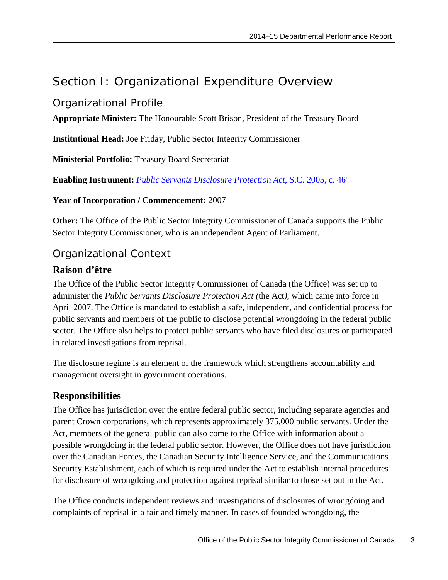# <span id="page-6-0"></span>Section I: Organizational Expenditure Overview

### <span id="page-6-1"></span>Organizational Profile

**Appropriate Minister:** The Honourable Scott Brison, President of the Treasury Board

**Institutional Head:** Joe Friday, Public Sector Integrity Commissioner

**Ministerial Portfolio:** Treasury Board Secretariat

**Enabling Instrument:** *[Public Servants Disclosure Protection Act](http://laws-lois.justice.gc.ca/eng/acts/P-31.9/page-1.html)*, S.C. 2005, c. 46[i](#page-28-1)

**Year of Incorporation / Commencement:** 2007

**Other:** The Office of the Public Sector Integrity Commissioner of Canada supports the Public Sector Integrity Commissioner, who is an independent Agent of Parliament.

### <span id="page-6-2"></span>Organizational Context

#### **Raison d'être**

The Office of the Public Sector Integrity Commissioner of Canada (the Office) was set up to administer the *Public Servants Disclosure Protection Act (*the Act*),* which came into force in April 2007. The Office is mandated to establish a safe, independent, and confidential process for public servants and members of the public to disclose potential wrongdoing in the federal public sector. The Office also helps to protect public servants who have filed disclosures or participated in related investigations from reprisal.

The disclosure regime is an element of the framework which strengthens accountability and management oversight in government operations.

### **Responsibilities**

The Office has jurisdiction over the entire federal public sector, including separate agencies and parent Crown corporations, which represents approximately 375,000 public servants. Under the Act, members of the general public can also come to the Office with information about a possible wrongdoing in the federal public sector. However, the Office does not have jurisdiction over the Canadian Forces, the Canadian Security Intelligence Service, and the Communications Security Establishment, each of which is required under the Act to establish internal procedures for disclosure of wrongdoing and protection against reprisal similar to those set out in the Act.

The Office conducts independent reviews and investigations of disclosures of wrongdoing and complaints of reprisal in a fair and timely manner. In cases of founded wrongdoing, the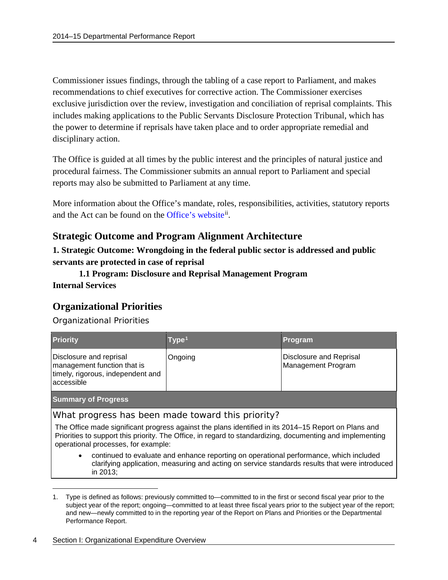Commissioner issues findings, through the tabling of a case report to Parliament, and makes recommendations to chief executives for corrective action. The Commissioner exercises exclusive jurisdiction over the review, investigation and conciliation of reprisal complaints. This includes making applications to the Public Servants Disclosure Protection Tribunal, which has the power to determine if reprisals have taken place and to order appropriate remedial and disciplinary action.

The Office is guided at all times by the public interest and the principles of natural justice and procedural fairness. The Commissioner submits an annual report to Parliament and special reports may also be submitted to Parliament at any time.

More information about the Office's mandate, roles, responsibilities, activities, statutory reports and the Act can be found on the [Office's website](http://www.psic-ispc.gc.ca/eng)<sup>[ii](#page-28-2)</sup>.

#### **Strategic Outcome and Program Alignment Architecture**

**1. Strategic Outcome: Wrongdoing in the federal public sector is addressed and public servants are protected in case of reprisal**

**1.1 Program: Disclosure and Reprisal Management Program Internal Services**

#### **Organizational Priorities**

Organizational Priorities

| <b>Priority</b>                                                                                           | Type <sup>1</sup> | <b>Program</b>                                |  |  |
|-----------------------------------------------------------------------------------------------------------|-------------------|-----------------------------------------------|--|--|
| Disclosure and reprisal<br>management function that is<br>timely, rigorous, independent and<br>accessible | Ongoing           | Disclosure and Reprisal<br>Management Program |  |  |
| <b>Summary of Progress</b>                                                                                |                   |                                               |  |  |

What progress has been made toward this priority?

The Office made significant progress against the plans identified in its 2014–15 Report on Plans and Priorities to support this priority. The Office, in regard to standardizing, documenting and implementing operational processes, for example:

• continued to evaluate and enhance reporting on operational performance, which included clarifying application, measuring and acting on service standards results that were introduced in 2013;

#### 4 Section I: Organizational Expenditure Overview

 $\overline{a}$ 

<span id="page-7-0"></span><sup>1.</sup> Type is defined as follows: previously committed to—committed to in the first or second fiscal year prior to the subject year of the report; ongoing—committed to at least three fiscal years prior to the subject year of the report; and new—newly committed to in the reporting year of the Report on Plans and Priorities or the Departmental Performance Report.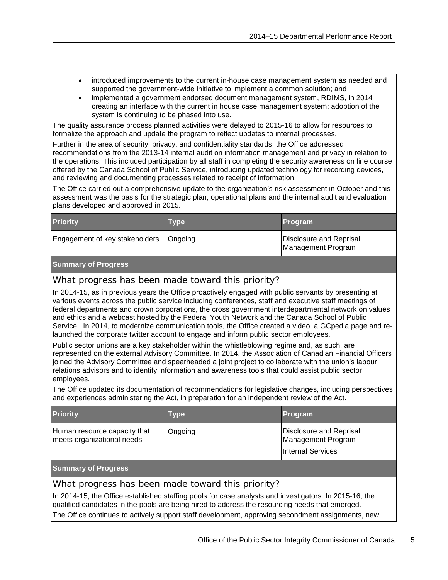- introduced improvements to the current in-house case management system as needed and supported the government-wide initiative to implement a common solution; and
- implemented a government endorsed document management system, RDIMS, in 2014 creating an interface with the current in house case management system; adoption of the system is continuing to be phased into use.

The quality assurance process planned activities were delayed to 2015-16 to allow for resources to formalize the approach and update the program to reflect updates to internal processes.

Further in the area of security, privacy, and confidentiality standards, the Office addressed recommendations from the 2013-14 internal audit on information management and privacy in relation to the operations. This included participation by all staff in completing the security awareness on line course offered by the Canada School of Public Service, introducing updated technology for recording devices, and reviewing and documenting processes related to receipt of information.

The Office carried out a comprehensive update to the organization's risk assessment in October and this assessment was the basis for the strategic plan, operational plans and the internal audit and evaluation plans developed and approved in 2015.

| <b>Priority</b>                          | <b>Type</b> | Program                                       |
|------------------------------------------|-------------|-----------------------------------------------|
| Engagement of key stakeholders   Ongoing |             | Disclosure and Reprisal<br>Management Program |

#### **Summary of Progress**

#### What progress has been made toward this priority?

In 2014-15, as in previous years the Office proactively engaged with public servants by presenting at various events across the public service including conferences, staff and executive staff meetings of federal departments and crown corporations, the cross government interdepartmental network on values and ethics and a webcast hosted by the Federal Youth Network and the Canada School of Public Service. In 2014, to modernize communication tools, the Office created a video, a GCpedia page and relaunched the corporate twitter account to engage and inform public sector employees.

Public sector unions are a key stakeholder within the whistleblowing regime and, as such, are represented on the external Advisory Committee. In 2014, the Association of Canadian Financial Officers joined the Advisory Committee and spearheaded a joint project to collaborate with the union's labour relations advisors and to identify information and awareness tools that could assist public sector employees.

The Office updated its documentation of recommendations for legislative changes, including perspectives and experiences administering the Act, in preparation for an independent review of the Act.

| <b>Priority</b>                                            | <b>Type</b> | Program                                                            |
|------------------------------------------------------------|-------------|--------------------------------------------------------------------|
| Human resource capacity that<br>meets organizational needs | Ongoing     | Disclosure and Reprisal<br>Management Program<br>Internal Services |

#### **Summary of Progress**

#### What progress has been made toward this priority?

In 2014-15, the Office established staffing pools for case analysts and investigators. In 2015-16, the qualified candidates in the pools are being hired to address the resourcing needs that emerged.

The Office continues to actively support staff development, approving secondment assignments, new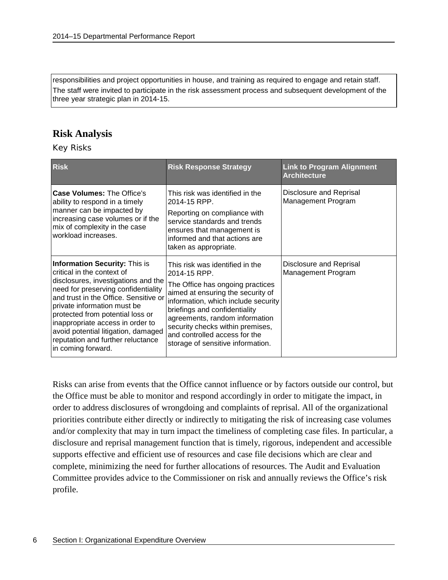responsibilities and project opportunities in house, and training as required to engage and retain staff. The staff were invited to participate in the risk assessment process and subsequent development of the three year strategic plan in 2014-15.

#### **Risk Analysis**

Key Risks

| <b>Risk</b>                                                                                                                                                                                                                                                                                                                                                                                        | <b>Risk Response Strategy</b>                                                                                                                                                                                                                                                                                                                | <b>Link to Program Alignment</b><br><b>Architecture</b> |
|----------------------------------------------------------------------------------------------------------------------------------------------------------------------------------------------------------------------------------------------------------------------------------------------------------------------------------------------------------------------------------------------------|----------------------------------------------------------------------------------------------------------------------------------------------------------------------------------------------------------------------------------------------------------------------------------------------------------------------------------------------|---------------------------------------------------------|
| <b>Case Volumes: The Office's</b><br>ability to respond in a timely<br>manner can be impacted by<br>increasing case volumes or if the<br>mix of complexity in the case<br>workload increases.                                                                                                                                                                                                      | This risk was identified in the<br>2014-15 RPP.<br>Reporting on compliance with<br>service standards and trends<br>ensures that management is<br>informed and that actions are<br>taken as appropriate.                                                                                                                                      | Disclosure and Reprisal<br>Management Program           |
| <b>Information Security: This is</b><br>critical in the context of<br>disclosures, investigations and the<br>need for preserving confidentiality<br>and trust in the Office. Sensitive or<br>private information must be<br>protected from potential loss or<br>inappropriate access in order to<br>avoid potential litigation, damaged<br>reputation and further reluctance<br>in coming forward. | This risk was identified in the<br>2014-15 RPP.<br>The Office has ongoing practices<br>aimed at ensuring the security of<br>information, which include security<br>briefings and confidentiality<br>agreements, random information<br>security checks within premises,<br>and controlled access for the<br>storage of sensitive information. | Disclosure and Reprisal<br>Management Program           |

Risks can arise from events that the Office cannot influence or by factors outside our control, but the Office must be able to monitor and respond accordingly in order to mitigate the impact, in order to address disclosures of wrongdoing and complaints of reprisal. All of the organizational priorities contribute either directly or indirectly to mitigating the risk of increasing case volumes and/or complexity that may in turn impact the timeliness of completing case files. In particular, a disclosure and reprisal management function that is timely, rigorous, independent and accessible supports effective and efficient use of resources and case file decisions which are clear and complete, minimizing the need for further allocations of resources. The Audit and Evaluation Committee provides advice to the Commissioner on risk and annually reviews the Office's risk profile.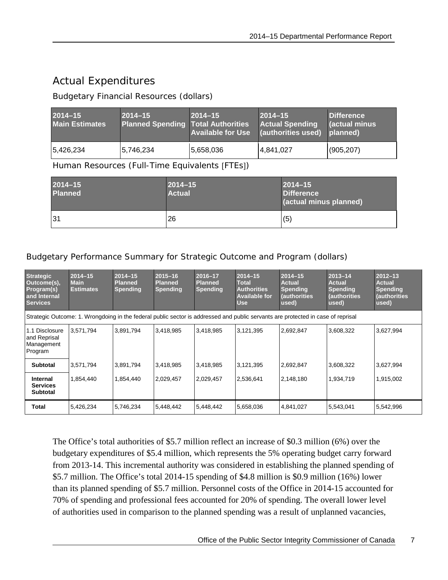## <span id="page-10-0"></span>Actual Expenditures

#### Budgetary Financial Resources (dollars)

| $2014 - 15$<br><b>Main Estimates</b> | $2014 - 15$<br><b>Planned Spending Total Authorities</b> | $2014 - 15$ | $2014 - 15$<br><b>Actual Spending</b><br>Available for Use (authorities used) planned) | <b>Difference</b><br><b>Cactual minus</b> |
|--------------------------------------|----------------------------------------------------------|-------------|----------------------------------------------------------------------------------------|-------------------------------------------|
| 5,426,234                            | 5,746,234                                                | 5,658,036   | 4,841,027                                                                              | (905, 207)                                |

Human Resources (Full-Time Equivalents [FTEs])

| $2014 - 15$<br><b>Planned</b> | $2014 - 15$<br><b>Actual</b> | $2014 - 15$<br><b>Difference</b><br>(actual minus planned) |
|-------------------------------|------------------------------|------------------------------------------------------------|
| 31                            | 26                           | (5)                                                        |

Budgetary Performance Summary for Strategic Outcome and Program (dollars)

| <b>Strategic</b><br>Outcome(s),<br>Program(s)<br>and Internal<br><b>Services</b> | $2014 - 15$<br><b>Main</b><br><b>Estimates</b> | $2014 - 15$<br><b>Planned</b><br><b>Spending</b> | $2015 - 16$<br><b>Planned</b><br><b>Spending</b> | 2016-17<br><b>Planned</b><br><b>Spending</b> | $2014 - 15$<br><b>Total</b><br><b>Authorities</b><br><b>Available for</b><br><b>Use</b> | $2014 - 15$<br><b>Actual</b><br><b>Spending</b><br><b>(authorities</b><br>used)                                                  | $2013 - 14$<br><b>Actual</b><br><b>Spending</b><br>(authorities<br>used) | $2012 - 13$<br><b>Actual</b><br><b>Spending</b><br>(authorities<br>used) |
|----------------------------------------------------------------------------------|------------------------------------------------|--------------------------------------------------|--------------------------------------------------|----------------------------------------------|-----------------------------------------------------------------------------------------|----------------------------------------------------------------------------------------------------------------------------------|--------------------------------------------------------------------------|--------------------------------------------------------------------------|
|                                                                                  |                                                |                                                  |                                                  |                                              |                                                                                         | Strategic Outcome: 1. Wrongdoing in the federal public sector is addressed and public servants are protected in case of reprisal |                                                                          |                                                                          |
| 1.1 Disclosure<br>and Reprisal<br>Management<br>Program                          | 3,571,794                                      | 3,891,794                                        | 3,418,985                                        | 3,418,985                                    | 3,121,395                                                                               | 2,692,847                                                                                                                        | 3,608,322                                                                | 3,627,994                                                                |
| <b>Subtotal</b>                                                                  | 3,571,794                                      | 3,891,794                                        | 3,418,985                                        | 3,418,985                                    | 3,121,395                                                                               | 2,692,847                                                                                                                        | 3,608,322                                                                | 3,627,994                                                                |
| Internal<br><b>Services</b><br><b>Subtotal</b>                                   | 1,854,440                                      | 1,854,440                                        | 2,029,457                                        | 2,029,457                                    | 2,536,641                                                                               | 2,148,180                                                                                                                        | 1,934,719                                                                | 1,915,002                                                                |
| Total                                                                            | 5,426,234                                      | 5,746,234                                        | 5,448,442                                        | 5,448,442                                    | 5,658,036                                                                               | 4,841,027                                                                                                                        | 5,543,041                                                                | 5,542,996                                                                |

The Office's total authorities of \$5.7 million reflect an increase of \$0.3 million (6%) over the budgetary expenditures of \$5.4 million, which represents the 5% operating budget carry forward from 2013-14. This incremental authority was considered in establishing the planned spending of \$5.7 million. The Office's total 2014-15 spending of \$4.8 million is \$0.9 million (16%) lower than its planned spending of \$5.7 million. Personnel costs of the Office in 2014-15 accounted for 70% of spending and professional fees accounted for 20% of spending. The overall lower level of authorities used in comparison to the planned spending was a result of unplanned vacancies,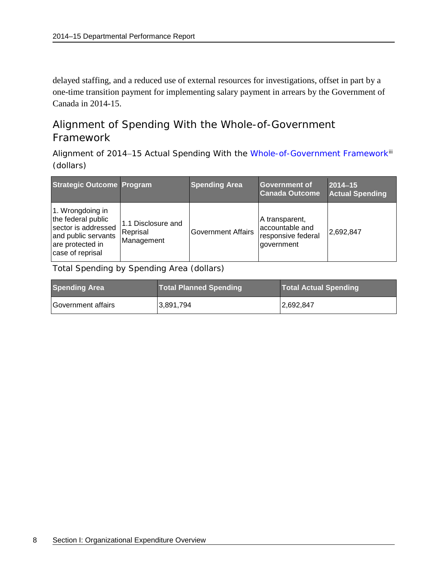delayed staffing, and a reduced use of external resources for investigations, offset in part by a one-time transition payment for implementing salary payment in arrears by the Government of Canada in 2014-15.

### <span id="page-11-0"></span>Alignment of Spending With the Whole-of-Government Framework

Alignment of 2014-15 Actual Spending With the [Whole-of-Government](http://www.tbs-sct.gc.ca/ppg-cpr/frame-cadre-eng.aspx) Framework<sup>iii</sup> (dollars)

| <b>Strategic Outcome Program</b>                                                                                             |                                              | <b>Spending Area</b>      | Government of<br><b>Canada Outcome</b>                                | $2014 - 15$<br><b>Actual Spending</b> |
|------------------------------------------------------------------------------------------------------------------------------|----------------------------------------------|---------------------------|-----------------------------------------------------------------------|---------------------------------------|
| 1. Wrongdoing in<br>the federal public<br>sector is addressed<br>and public servants<br>are protected in<br>case of reprisal | 1.1 Disclosure and<br>Reprisal<br>Management | <b>Government Affairs</b> | A transparent,<br>accountable and<br>responsive federal<br>government | 2,692,847                             |

Total Spending by Spending Area (dollars)

| <b>Spending Area</b> | <b>Total Planned Spending</b> | <b>Total Actual Spending</b> |
|----------------------|-------------------------------|------------------------------|
| lGovernment affairs  | 3,891,794                     | 2,692,847                    |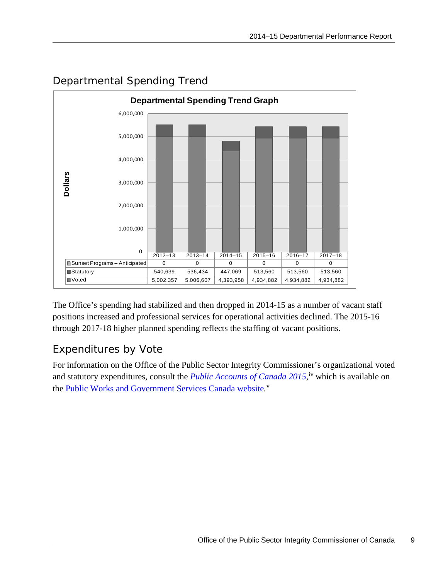

### <span id="page-12-0"></span>Departmental Spending Trend

The Office's spending had stabilized and then dropped in 2014-15 as a number of vacant staff positions increased and professional services for operational activities declined. The 2015-16 through 2017-18 higher planned spending reflects the staffing of vacant positions.

### <span id="page-12-1"></span>Expenditures by Vote

For information on the Office of the Public Sector Integrity Commissioner's organizational voted and statutory expenditures, consult the *[Public Accounts of Canada 2015](http://www.tpsgc-pwgsc.gc.ca/recgen/cpc-pac/index-eng.html)*,<sup>[iv](#page-28-4)</sup> which is available on the [Public Works and Government Services Canada website](http://www.tpsgc-pwgsc.gc.ca/recgen/cpc-pac/index-eng.html)*.* [v](#page-28-5)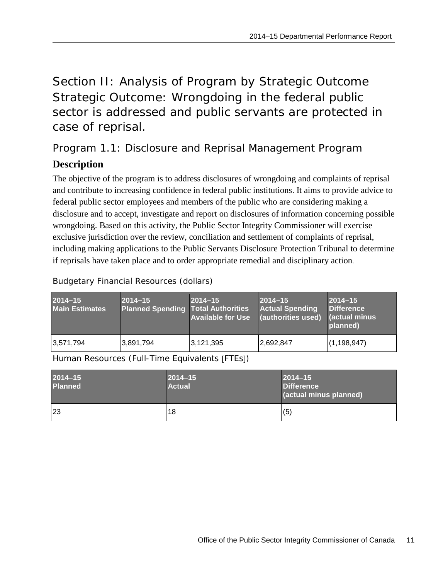<span id="page-14-1"></span><span id="page-14-0"></span>Section II: Analysis of Program by Strategic Outcome Strategic Outcome: Wrongdoing in the federal public sector is addressed and public servants are protected in case of reprisal.

<span id="page-14-2"></span>Program 1.1: Disclosure and Reprisal Management Program

### **Description**

The objective of the program is to address disclosures of wrongdoing and complaints of reprisal and contribute to increasing confidence in federal public institutions. It aims to provide advice to federal public sector employees and members of the public who are considering making a disclosure and to accept, investigate and report on disclosures of information concerning possible wrongdoing. Based on this activity, the Public Sector Integrity Commissioner will exercise exclusive jurisdiction over the review, conciliation and settlement of complaints of reprisal, including making applications to the Public Servants Disclosure Protection Tribunal to determine if reprisals have taken place and to order appropriate remedial and disciplinary action.

| $2014 - 15$<br><b>Main Estimates</b> | $2014 - 15$<br><b>Planned Spending Total Authorities</b> | $2014 - 15$<br><b>Available for Use</b> | $2014 - 15$<br><b>Actual Spending</b><br>(authorities used) | $2014 - 15$<br><b>Difference</b><br><b>actual minus</b><br>planned) |
|--------------------------------------|----------------------------------------------------------|-----------------------------------------|-------------------------------------------------------------|---------------------------------------------------------------------|
| 3,571,794                            | 3,891,794                                                | 3,121,395                               | 2,692,847                                                   | (1, 198, 947)                                                       |

Budgetary Financial Resources (dollars)

Human Resources (Full-Time Equivalents [FTEs])

| $2014 - 15$<br><b>Planned</b> | $2014 - 15$<br><b>Actual</b> | $2014 - 15$<br><b>Difference</b><br>(actual minus planned) |
|-------------------------------|------------------------------|------------------------------------------------------------|
| 23                            | 18                           | (5)                                                        |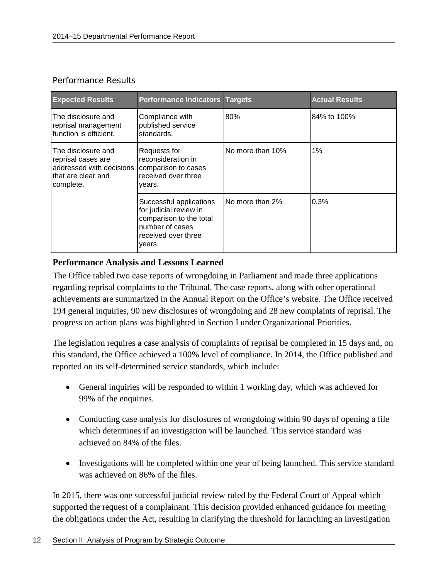#### Performance Results

| <b>Expected Results</b>                                                                                 | <b>Performance Indicators Targets</b>                                                                                            |                  | <b>Actual Results</b> |
|---------------------------------------------------------------------------------------------------------|----------------------------------------------------------------------------------------------------------------------------------|------------------|-----------------------|
| The disclosure and<br>reprisal management<br>function is efficient.                                     | Compliance with<br>published service<br>standards.                                                                               | 80%              | 84% to 100%           |
| The disclosure and<br>reprisal cases are<br>addressed with decisions<br>that are clear and<br>complete. | Requests for<br>reconsideration in<br>comparison to cases<br>received over three<br>years.                                       | No more than 10% | $1\%$                 |
|                                                                                                         | Successful applications<br>for judicial review in<br>comparison to the total<br>number of cases<br>received over three<br>years. | No more than 2%  | 0.3%                  |

#### **Performance Analysis and Lessons Learned**

The Office tabled two case reports of wrongdoing in Parliament and made three applications regarding reprisal complaints to the Tribunal. The case reports, along with other operational achievements are summarized in the Annual Report on the Office's website. The Office received 194 general inquiries, 90 new disclosures of wrongdoing and 28 new complaints of reprisal. The progress on action plans was highlighted in Section I under Organizational Priorities.

The legislation requires a case analysis of complaints of reprisal be completed in 15 days and, on this standard, the Office achieved a 100% level of compliance. In 2014, the Office published and reported on its self-determined service standards, which include:

- General inquiries will be responded to within 1 working day, which was achieved for 99% of the enquiries.
- Conducting case analysis for disclosures of wrongdoing within 90 days of opening a file which determines if an investigation will be launched. This service standard was achieved on 84% of the files.
- Investigations will be completed within one year of being launched. This service standard was achieved on 86% of the files.

In 2015, there was one successful judicial review ruled by the Federal Court of Appeal which supported the request of a complainant. This decision provided enhanced guidance for meeting the obligations under the Act, resulting in clarifying the threshold for launching an investigation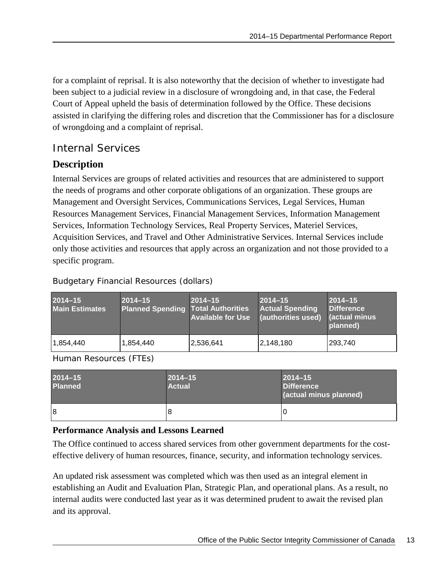for a complaint of reprisal. It is also noteworthy that the decision of whether to investigate had been subject to a judicial review in a disclosure of wrongdoing and, in that case, the Federal Court of Appeal upheld the basis of determination followed by the Office. These decisions assisted in clarifying the differing roles and discretion that the Commissioner has for a disclosure of wrongdoing and a complaint of reprisal.

### <span id="page-16-0"></span>Internal Services

#### **Description**

Internal Services are groups of related activities and resources that are administered to support the needs of programs and other corporate obligations of an organization. These groups are Management and Oversight Services, Communications Services, Legal Services, Human Resources Management Services, Financial Management Services, Information Management Services, Information Technology Services, Real Property Services, Materiel Services, Acquisition Services, and Travel and Other Administrative Services. Internal Services include only those activities and resources that apply across an organization and not those provided to a specific program.

Budgetary Financial Resources (dollars)

| $2014 - 15$<br><b>Main Estimates</b> | $2014 - 15$<br><b>Planned Spending Total Authorities</b> | $2014 - 15$<br>Available for Use (authorities used) | $2014 - 15$<br><b>Actual Spending</b> | $2014 - 15$<br><b>Difference</b><br><b>Cactual minus</b><br>planned) |
|--------------------------------------|----------------------------------------------------------|-----------------------------------------------------|---------------------------------------|----------------------------------------------------------------------|
| 1,854,440                            | 1,854,440                                                | 2,536,641                                           | 2,148,180                             | 293,740                                                              |

Human Resources (FTEs)

| $2014 - 15$<br><b>Planned</b> | $2014 - 15$<br><b>Actual</b> | $2014 - 15$<br><b>Difference</b><br>(actual minus planned) |
|-------------------------------|------------------------------|------------------------------------------------------------|
| 8                             | 8                            |                                                            |

#### **Performance Analysis and Lessons Learned**

The Office continued to access shared services from other government departments for the costeffective delivery of human resources, finance, security, and information technology services.

An updated risk assessment was completed which was then used as an integral element in establishing an Audit and Evaluation Plan, Strategic Plan, and operational plans. As a result, no internal audits were conducted last year as it was determined prudent to await the revised plan and its approval.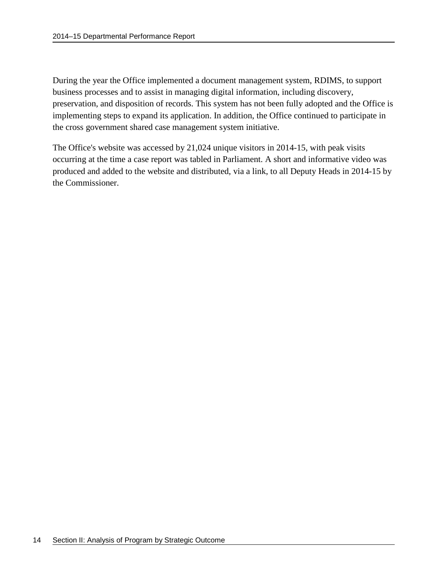During the year the Office implemented a document management system, RDIMS, to support business processes and to assist in managing digital information, including discovery, preservation, and disposition of records. This system has not been fully adopted and the Office is implementing steps to expand its application. In addition, the Office continued to participate in the cross government shared case management system initiative.

The Office's website was accessed by 21,024 unique visitors in 2014-15, with peak visits occurring at the time a case report was tabled in Parliament. A short and informative video was produced and added to the website and distributed, via a link, to all Deputy Heads in 2014-15 by the Commissioner.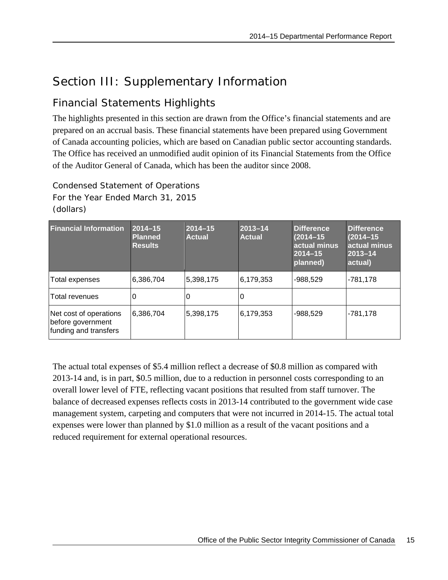# <span id="page-18-0"></span>Section III: Supplementary Information

### <span id="page-18-1"></span>Financial Statements Highlights

The highlights presented in this section are drawn from the Office's financial statements and are prepared on an accrual basis. These financial statements have been prepared using Government of Canada accounting policies, which are based on Canadian public sector accounting standards. The Office has received an unmodified audit opinion of its Financial Statements from the Office of the Auditor General of Canada, which has been the auditor since 2008.

Condensed Statement of Operations For the Year Ended March 31, 2015 (dollars)

| <b>Financial Information</b>                                         | $2014 - 15$<br><b>Planned</b><br><b>Results</b> | $2014 - 15$<br><b>Actual</b> | 2013-14<br><b>Actual</b> | <b>Difference</b><br>$(2014 - 15)$<br>actual minus<br>$2014 - 15$<br>planned) | <b>Difference</b><br>$(2014 - 15)$<br>actual minus<br>$2013 - 14$<br>actual) |
|----------------------------------------------------------------------|-------------------------------------------------|------------------------------|--------------------------|-------------------------------------------------------------------------------|------------------------------------------------------------------------------|
| Total expenses                                                       | 6,386,704                                       | 5,398,175                    | 6,179,353                | $-988,529$                                                                    | -781,178                                                                     |
| lTotal revenues                                                      | 0                                               | 0                            |                          |                                                                               |                                                                              |
| Net cost of operations<br>before government<br>funding and transfers | 6,386,704                                       | 5,398,175                    | 6,179,353                | $-988,529$                                                                    | -781,178                                                                     |

The actual total expenses of \$5.4 million reflect a decrease of \$0.8 million as compared with 2013-14 and, is in part, \$0.5 million, due to a reduction in personnel costs corresponding to an overall lower level of FTE, reflecting vacant positions that resulted from staff turnover. The balance of decreased expenses reflects costs in 2013-14 contributed to the government wide case management system, carpeting and computers that were not incurred in 2014-15. The actual total expenses were lower than planned by \$1.0 million as a result of the vacant positions and a reduced requirement for external operational resources.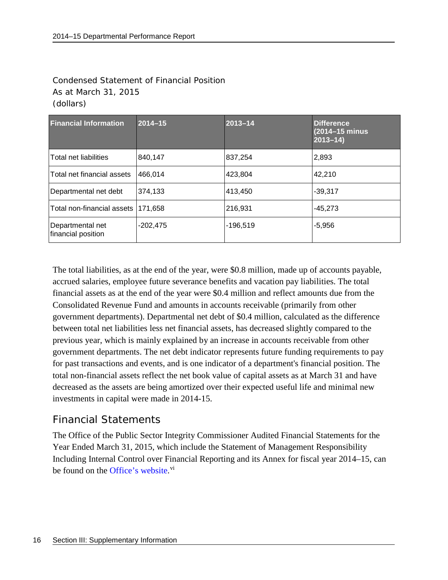#### Condensed Statement of Financial Position As at March 31, 2015 (dollars)

| <b>Financial Information</b>           | $2014 - 15$ | $2013 - 14$ | <b>Difference</b><br>(2014-15 minus<br>$2013 - 14$ |
|----------------------------------------|-------------|-------------|----------------------------------------------------|
| <b>Total net liabilities</b>           | 840,147     | 837,254     | 2,893                                              |
| Total net financial assets             | 466,014     | 423,804     | 42,210                                             |
| Departmental net debt                  | 374,133     | 413,450     | $-39,317$                                          |
| Total non-financial assets 171,658     |             | 216,931     | $-45.273$                                          |
| Departmental net<br>financial position | $-202,475$  | $-196,519$  | $-5,956$                                           |

The total liabilities, as at the end of the year, were \$0.8 million, made up of accounts payable, accrued salaries, employee future severance benefits and vacation pay liabilities. The total financial assets as at the end of the year were \$0.4 million and reflect amounts due from the Consolidated Revenue Fund and amounts in accounts receivable (primarily from other government departments). Departmental net debt of \$0.4 million, calculated as the difference between total net liabilities less net financial assets, has decreased slightly compared to the previous year, which is mainly explained by an increase in accounts receivable from other government departments. The net debt indicator represents future funding requirements to pay for past transactions and events, and is one indicator of a department's financial position. The total non-financial assets reflect the net book value of capital assets as at March 31 and have decreased as the assets are being amortized over their expected useful life and minimal new investments in capital were made in 2014-15.

### <span id="page-19-0"></span>Financial Statements

The Office of the Public Sector Integrity Commissioner Audited Financial Statements for the Year Ended March 31, 2015, which include the Statement of Management Responsibility Including Internal Control over Financial Reporting and its Annex for fiscal year 2014–15, can be found on the Office's website.<sup>[vi](#page-28-6)</sup>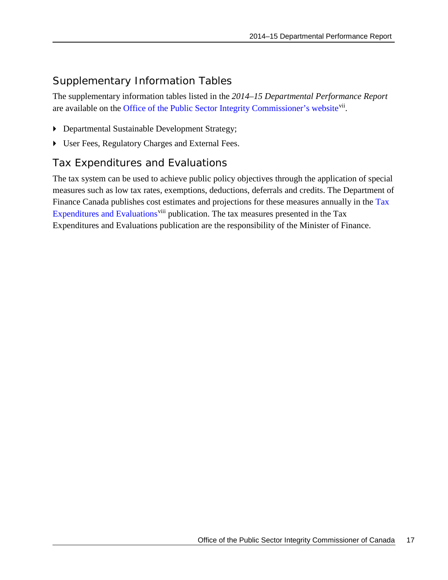### <span id="page-20-0"></span>Supplementary Information Tables

The supplementary information tables listed in the *2014–15 Departmental Performance Report* are available on the [Office of the Public Sector Integrity Commissioner's website](http://www.psic-ispc.gc.ca/eng/about-us/corporate-documents/2014-2015-supplementary-tables)<sup>vii</sup>.

- Departmental Sustainable Development Strategy;
- User Fees, Regulatory Charges and External Fees.

### <span id="page-20-1"></span>Tax Expenditures and Evaluations

The tax system can be used to achieve public policy objectives through the application of special measures such as low tax rates, exemptions, deductions, deferrals and credits. The Department of Finance Canada publishes cost estimates and projections for these measures annually in the Tax [Expenditures and Evaluations](http://www.fin.gc.ca/purl/taxexp-eng.asp)<sup>[viii](#page-28-8)</sup> publication. The tax measures presented in the Tax Expenditures and Evaluations publication are the responsibility of the Minister of Finance.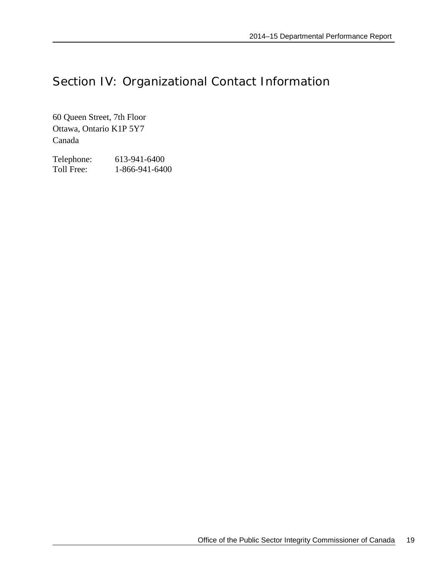# <span id="page-22-0"></span>Section IV: Organizational Contact Information

60 Queen Street, 7th Floor Ottawa, Ontario K1P 5Y7 Canada

Telephone: 613-941-6400<br>Toll Free: 1-866-941-640 1-866-941-6400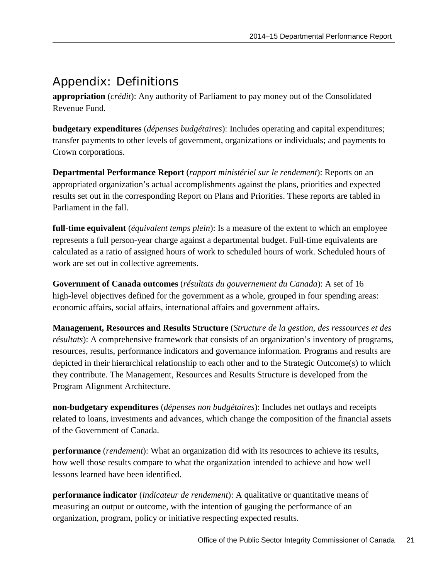# <span id="page-24-0"></span>Appendix: Definitions

**appropriation** (*crédit*): Any authority of Parliament to pay money out of the Consolidated Revenue Fund.

**budgetary expenditures** (*dépenses budgétaires*): Includes operating and capital expenditures; transfer payments to other levels of government, organizations or individuals; and payments to Crown corporations.

**Departmental Performance Report** (*rapport ministériel sur le rendement*): Reports on an appropriated organization's actual accomplishments against the plans, priorities and expected results set out in the corresponding Report on Plans and Priorities. These reports are tabled in Parliament in the fall.

**full-time equivalent** (*équivalent temps plein*): Is a measure of the extent to which an employee represents a full person-year charge against a departmental budget. Full-time equivalents are calculated as a ratio of assigned hours of work to scheduled hours of work. Scheduled hours of work are set out in collective agreements.

**Government of Canada outcomes** (*résultats du gouvernement du Canada*): A set of 16 high-level objectives defined for the government as a whole, grouped in [four spending areas:](http://www.tbs-sct.gc.ca/ppg-cpr/frame-cadre-eng.aspx) economic affairs, social affairs, international affairs and government affairs.

**Management, Resources and Results Structure** (*Structure de la gestion, des ressources et des résultats*): A comprehensive framework that consists of an organization's inventory of programs, resources, results, performance indicators and governance information. Programs and results are depicted in their hierarchical relationship to each other and to the Strategic Outcome(s) to which they contribute. The Management, Resources and Results Structure is developed from the Program Alignment Architecture.

**non-budgetary expenditures** (*dépenses non budgétaires*): Includes net outlays and receipts related to loans, investments and advances, which change the composition of the financial assets of the Government of Canada.

**performance** (*rendement*): What an organization did with its resources to achieve its results, how well those results compare to what the organization intended to achieve and how well lessons learned have been identified.

**performance indicator** (*indicateur de rendement*): A qualitative or quantitative means of measuring an output or outcome, with the intention of gauging the performance of an organization, program, policy or initiative respecting expected results.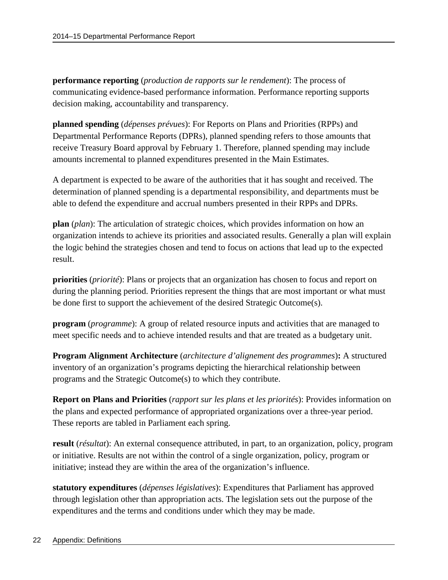**performance reporting** (*production de rapports sur le rendement*): The process of communicating evidence-based performance information. Performance reporting supports decision making, accountability and transparency.

**planned spending** (*dépenses prévues*): For Reports on Plans and Priorities (RPPs) and Departmental Performance Reports (DPRs), planned spending refers to those amounts that receive Treasury Board approval by February 1. Therefore, planned spending may include amounts incremental to planned expenditures presented in the Main Estimates.

A department is expected to be aware of the authorities that it has sought and received. The determination of planned spending is a departmental responsibility, and departments must be able to defend the expenditure and accrual numbers presented in their RPPs and DPRs.

**plan** (*plan*): The articulation of strategic choices, which provides information on how an organization intends to achieve its priorities and associated results. Generally a plan will explain the logic behind the strategies chosen and tend to focus on actions that lead up to the expected result.

**priorities** (*priorité*): Plans or projects that an organization has chosen to focus and report on during the planning period. Priorities represent the things that are most important or what must be done first to support the achievement of the desired Strategic Outcome(s).

**program** (*programme*): A group of related resource inputs and activities that are managed to meet specific needs and to achieve intended results and that are treated as a budgetary unit.

**Program Alignment Architecture** (*architecture d'alignement des programmes*)**:** A structured inventory of an organization's programs depicting the hierarchical relationship between programs and the Strategic Outcome(s) to which they contribute.

**Report on Plans and Priorities** (*rapport sur les plans et les priorités*): Provides information on the plans and expected performance of appropriated organizations over a three-year period. These reports are tabled in Parliament each spring.

**result** (*résultat*): An external consequence attributed, in part, to an organization, policy, program or initiative. Results are not within the control of a single organization, policy, program or initiative; instead they are within the area of the organization's influence.

**statutory expenditures** (*dépenses législatives*): Expenditures that Parliament has approved through legislation other than appropriation acts. The legislation sets out the purpose of the expenditures and the terms and conditions under which they may be made.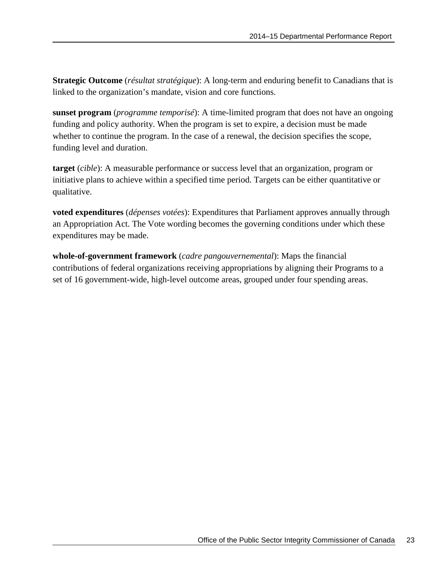**Strategic Outcome** (*résultat stratégique*): A long-term and enduring benefit to Canadians that is linked to the organization's mandate, vision and core functions.

**sunset program** (*programme temporisé*): A time-limited program that does not have an ongoing funding and policy authority. When the program is set to expire, a decision must be made whether to continue the program. In the case of a renewal, the decision specifies the scope, funding level and duration.

**target** (*cible*): A measurable performance or success level that an organization, program or initiative plans to achieve within a specified time period. Targets can be either quantitative or qualitative.

**voted expenditures** (*dépenses votées*): Expenditures that Parliament approves annually through an Appropriation Act. The Vote wording becomes the governing conditions under which these expenditures may be made.

**whole-of-government framework** (*cadre pangouvernemental*): Maps the financial contributions of federal organizations receiving appropriations by aligning their Programs to a set of 16 government-wide, high-level outcome areas, grouped under four spending areas.